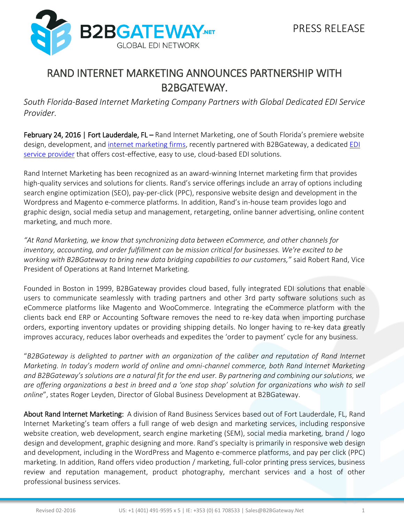

## RAND INTERNET MARKETING ANNOUNCES PARTNERSHIP WITH B2BGATEWAY.

*South Florida-Based Internet Marketing Company Partners with Global Dedicated EDI Service Provider.*

February 24, 2016 | Fort Lauderdale, FL – Rand Internet Marketing, one of South Florida's premiere website design, development, and [internet marketing firms,](http://randmarketing.com/) recently partnered with B2BGateway, a dedicated EDI [service provider](http://www.b2bgateway.net/) that offers cost-effective, easy to use, cloud-based EDI solutions.

Rand Internet Marketing has been recognized as an award-winning Internet marketing firm that provides high-quality services and solutions for clients. Rand's service offerings include an array of options including search engine optimization (SEO), pay-per-click (PPC), responsive website design and development in the Wordpress and Magento e-commerce platforms. In addition, Rand's in-house team provides logo and graphic design, social media setup and management, retargeting, online banner advertising, online content marketing, and much more.

*"At Rand Marketing, we know that synchronizing data between eCommerce, and other channels for inventory, accounting, and order fulfillment can be mission critical for businesses. We're excited to be working with B2BGateway to bring new data bridging capabilities to our customers,"* said Robert Rand, Vice President of Operations at Rand Internet Marketing.

Founded in Boston in 1999, B2BGateway provides cloud based, fully integrated EDI solutions that enable users to communicate seamlessly with trading partners and other 3rd party software solutions such as eCommerce platforms like Magento and WooCommerce. Integrating the eCommerce platform with the clients back end ERP or Accounting Software removes the need to re-key data when importing purchase orders, exporting inventory updates or providing shipping details. No longer having to re-key data greatly improves accuracy, reduces labor overheads and expedites the 'order to payment' cycle for any business.

"*B2BGateway is delighted to partner with an organization of the caliber and reputation of Rand Internet Marketing. In today's modern world of online and omni-channel commerce, both Rand Internet Marketing and B2BGateway's solutions are a natural fit for the end user. By partnering and combining our solutions, we are offering organizations a best in breed and a 'one stop shop' solution for organizations who wish to sell online*", states Roger Leyden, Director of Global Business Development at B2BGateway.

About Rand Internet Marketing: A division of Rand Business Services based out of Fort Lauderdale, FL, Rand Internet Marketing's team offers a full range of web design and marketing services, including responsive website creation, web development, search engine marketing (SEM), social media marketing, brand / logo design and development, graphic designing and more. Rand's specialty is primarily in responsive web design and development, including in the WordPress and Magento e-commerce platforms, and pay per click (PPC) marketing. In addition, Rand offers video production / marketing, full-color printing press services, business review and reputation management, product photography, merchant services and a host of other professional business services.